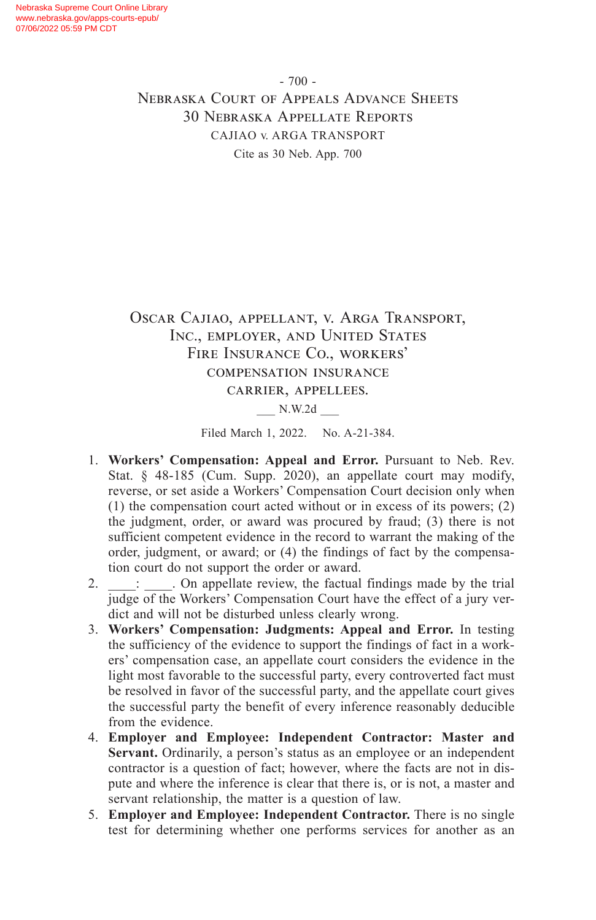- 700 - Nebraska Court of Appeals Advance Sheets 30 Nebraska Appellate Reports CAJIAO v. ARGA TRANSPORT Cite as 30 Neb. App. 700

# Oscar Cajiao, appellant, v. Arga Transport, Inc., employer, and United States Fire Insurance Co., workers' compensation insurance carrier, appellees.

\_\_\_ N.W.2d \_\_\_

Filed March 1, 2022. No. A-21-384.

- 1. **Workers' Compensation: Appeal and Error.** Pursuant to Neb. Rev. Stat. § 48-185 (Cum. Supp. 2020), an appellate court may modify, reverse, or set aside a Workers' Compensation Court decision only when (1) the compensation court acted without or in excess of its powers; (2) the judgment, order, or award was procured by fraud; (3) there is not sufficient competent evidence in the record to warrant the making of the order, judgment, or award; or (4) the findings of fact by the compensation court do not support the order or award.
- 2.  $\therefore$   $\therefore$  On appellate review, the factual findings made by the trial judge of the Workers' Compensation Court have the effect of a jury verdict and will not be disturbed unless clearly wrong.
- 3. **Workers' Compensation: Judgments: Appeal and Error.** In testing the sufficiency of the evidence to support the findings of fact in a workers' compensation case, an appellate court considers the evidence in the light most favorable to the successful party, every controverted fact must be resolved in favor of the successful party, and the appellate court gives the successful party the benefit of every inference reasonably deducible from the evidence.
- 4. **Employer and Employee: Independent Contractor: Master and Servant.** Ordinarily, a person's status as an employee or an independent contractor is a question of fact; however, where the facts are not in dispute and where the inference is clear that there is, or is not, a master and servant relationship, the matter is a question of law.
- 5. **Employer and Employee: Independent Contractor.** There is no single test for determining whether one performs services for another as an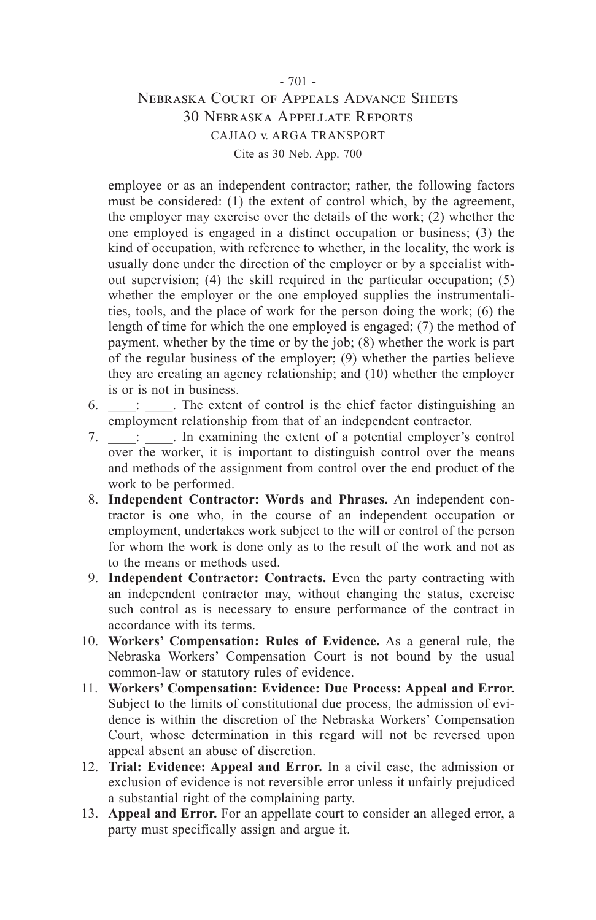### - 701 - Nebraska Court of Appeals Advance Sheets 30 Nebraska Appellate Reports CAJIAO v. ARGA TRANSPORT Cite as 30 Neb. App. 700

employee or as an independent contractor; rather, the following factors must be considered: (1) the extent of control which, by the agreement, the employer may exercise over the details of the work; (2) whether the one employed is engaged in a distinct occupation or business; (3) the kind of occupation, with reference to whether, in the locality, the work is usually done under the direction of the employer or by a specialist without supervision; (4) the skill required in the particular occupation; (5) whether the employer or the one employed supplies the instrumentalities, tools, and the place of work for the person doing the work; (6) the length of time for which the one employed is engaged; (7) the method of payment, whether by the time or by the job; (8) whether the work is part of the regular business of the employer; (9) whether the parties believe they are creating an agency relationship; and (10) whether the employer is or is not in business.

- $6.$   $\therefore$  The extent of control is the chief factor distinguishing an employment relationship from that of an independent contractor.
- 7.  $\therefore$  In examining the extent of a potential employer's control over the worker, it is important to distinguish control over the means and methods of the assignment from control over the end product of the work to be performed.
- 8. **Independent Contractor: Words and Phrases.** An independent contractor is one who, in the course of an independent occupation or employment, undertakes work subject to the will or control of the person for whom the work is done only as to the result of the work and not as to the means or methods used.
- 9. **Independent Contractor: Contracts.** Even the party contracting with an independent contractor may, without changing the status, exercise such control as is necessary to ensure performance of the contract in accordance with its terms.
- 10. **Workers' Compensation: Rules of Evidence.** As a general rule, the Nebraska Workers' Compensation Court is not bound by the usual common-law or statutory rules of evidence.
- 11. **Workers' Compensation: Evidence: Due Process: Appeal and Error.** Subject to the limits of constitutional due process, the admission of evidence is within the discretion of the Nebraska Workers' Compensation Court, whose determination in this regard will not be reversed upon appeal absent an abuse of discretion.
- 12. **Trial: Evidence: Appeal and Error.** In a civil case, the admission or exclusion of evidence is not reversible error unless it unfairly prejudiced a substantial right of the complaining party.
- 13. **Appeal and Error.** For an appellate court to consider an alleged error, a party must specifically assign and argue it.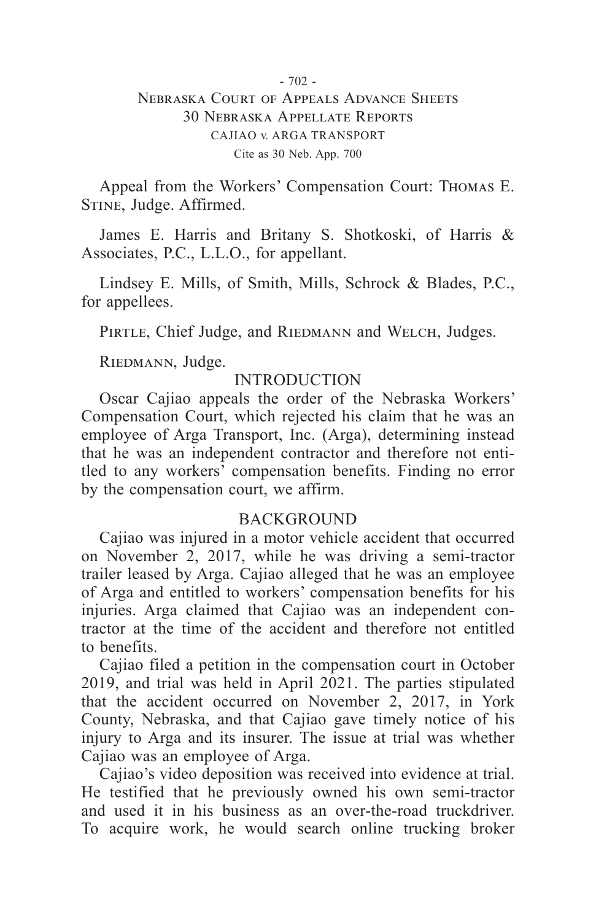### $-702 -$ Nebraska Court of Appeals Advance Sheets 30 Nebraska Appellate Reports CAJIAO v. ARGA TRANSPORT Cite as 30 Neb. App. 700

Appeal from the Workers' Compensation Court: Thomas E. Stine, Judge. Affirmed.

James E. Harris and Britany S. Shotkoski, of Harris & Associates, P.C., L.L.O., for appellant.

Lindsey E. Mills, of Smith, Mills, Schrock & Blades, P.C., for appellees.

PIRTLE, Chief Judge, and RIEDMANN and WELCH, Judges.

RIEDMANN, Judge.

# INTRODUCTION

Oscar Cajiao appeals the order of the Nebraska Workers' Compensation Court, which rejected his claim that he was an employee of Arga Transport, Inc. (Arga), determining instead that he was an independent contractor and therefore not entitled to any workers' compensation benefits. Finding no error by the compensation court, we affirm.

### BACKGROUND

Cajiao was injured in a motor vehicle accident that occurred on November 2, 2017, while he was driving a semi-tractor trailer leased by Arga. Cajiao alleged that he was an employee of Arga and entitled to workers' compensation benefits for his injuries. Arga claimed that Cajiao was an independent contractor at the time of the accident and therefore not entitled to benefits.

Cajiao filed a petition in the compensation court in October 2019, and trial was held in April 2021. The parties stipulated that the accident occurred on November 2, 2017, in York County, Nebraska, and that Cajiao gave timely notice of his injury to Arga and its insurer. The issue at trial was whether Cajiao was an employee of Arga.

Cajiao's video deposition was received into evidence at trial. He testified that he previously owned his own semi-tractor and used it in his business as an over-the-road truckdriver. To acquire work, he would search online trucking broker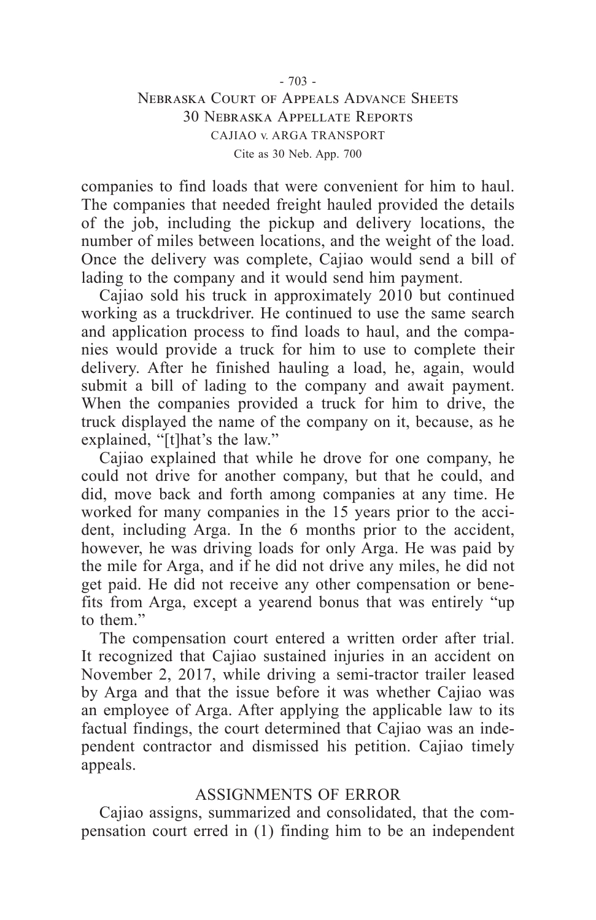### $-703 -$ Nebraska Court of Appeals Advance Sheets 30 Nebraska Appellate Reports CAJIAO v. ARGA TRANSPORT Cite as 30 Neb. App. 700

companies to find loads that were convenient for him to haul. The companies that needed freight hauled provided the details of the job, including the pickup and delivery locations, the number of miles between locations, and the weight of the load. Once the delivery was complete, Cajiao would send a bill of lading to the company and it would send him payment.

Cajiao sold his truck in approximately 2010 but continued working as a truckdriver. He continued to use the same search and application process to find loads to haul, and the companies would provide a truck for him to use to complete their delivery. After he finished hauling a load, he, again, would submit a bill of lading to the company and await payment. When the companies provided a truck for him to drive, the truck displayed the name of the company on it, because, as he explained, "[t]hat's the law."

Cajiao explained that while he drove for one company, he could not drive for another company, but that he could, and did, move back and forth among companies at any time. He worked for many companies in the 15 years prior to the accident, including Arga. In the 6 months prior to the accident, however, he was driving loads for only Arga. He was paid by the mile for Arga, and if he did not drive any miles, he did not get paid. He did not receive any other compensation or benefits from Arga, except a yearend bonus that was entirely "up to them."

The compensation court entered a written order after trial. It recognized that Cajiao sustained injuries in an accident on November 2, 2017, while driving a semi-tractor trailer leased by Arga and that the issue before it was whether Cajiao was an employee of Arga. After applying the applicable law to its factual findings, the court determined that Cajiao was an independent contractor and dismissed his petition. Cajiao timely appeals.

### ASSIGNMENTS OF ERROR

Cajiao assigns, summarized and consolidated, that the compensation court erred in (1) finding him to be an independent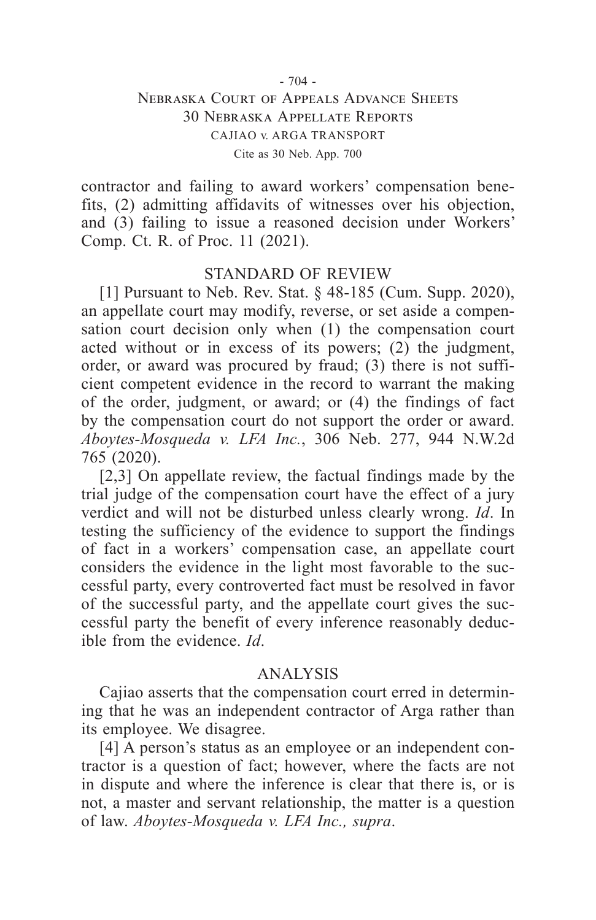### $-704 -$ Nebraska Court of Appeals Advance Sheets 30 Nebraska Appellate Reports CAJIAO v. ARGA TRANSPORT Cite as 30 Neb. App. 700

contractor and failing to award workers' compensation benefits, (2) admitting affidavits of witnesses over his objection, and (3) failing to issue a reasoned decision under Workers' Comp. Ct. R. of Proc. 11 (2021).

#### STANDARD OF REVIEW

[1] Pursuant to Neb. Rev. Stat. § 48-185 (Cum. Supp. 2020), an appellate court may modify, reverse, or set aside a compensation court decision only when (1) the compensation court acted without or in excess of its powers;  $(2)$  the judgment, order, or award was procured by fraud; (3) there is not sufficient competent evidence in the record to warrant the making of the order, judgment, or award; or (4) the findings of fact by the compensation court do not support the order or award. *Aboytes-Mosqueda v. LFA Inc.*, 306 Neb. 277, 944 N.W.2d 765 (2020).

[2,3] On appellate review, the factual findings made by the trial judge of the compensation court have the effect of a jury verdict and will not be disturbed unless clearly wrong. *Id*. In testing the sufficiency of the evidence to support the findings of fact in a workers' compensation case, an appellate court considers the evidence in the light most favorable to the successful party, every controverted fact must be resolved in favor of the successful party, and the appellate court gives the successful party the benefit of every inference reasonably deducible from the evidence. *Id*.

### ANALYSIS

Cajiao asserts that the compensation court erred in determining that he was an independent contractor of Arga rather than its employee. We disagree.

[4] A person's status as an employee or an independent contractor is a question of fact; however, where the facts are not in dispute and where the inference is clear that there is, or is not, a master and servant relationship, the matter is a question of law. *Aboytes-Mosqueda v. LFA Inc., supra*.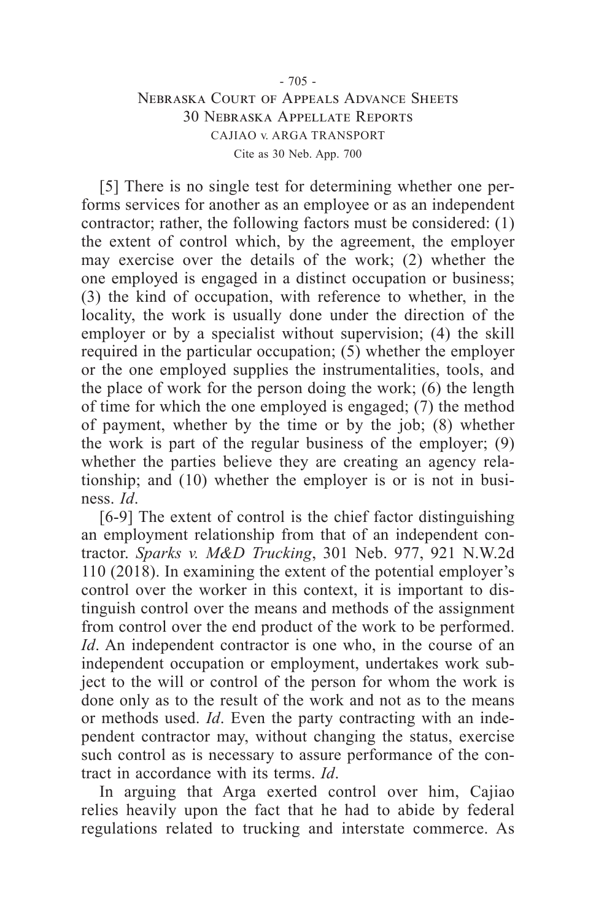# Nebraska Court of Appeals Advance Sheets 30 Nebraska Appellate Reports CAJIAO v. ARGA TRANSPORT Cite as 30 Neb. App. 700

[5] There is no single test for determining whether one performs services for another as an employee or as an independent contractor; rather, the following factors must be considered: (1) the extent of control which, by the agreement, the employer may exercise over the details of the work; (2) whether the one employed is engaged in a distinct occupation or business; (3) the kind of occupation, with reference to whether, in the locality, the work is usually done under the direction of the employer or by a specialist without supervision; (4) the skill required in the particular occupation; (5) whether the employer or the one employed supplies the instrumentalities, tools, and the place of work for the person doing the work; (6) the length of time for which the one employed is engaged; (7) the method of payment, whether by the time or by the job; (8) whether the work is part of the regular business of the employer; (9) whether the parties believe they are creating an agency relationship; and (10) whether the employer is or is not in business. *Id*.

[6-9] The extent of control is the chief factor distinguishing an employment relationship from that of an independent contractor. *Sparks v. M&D Trucking*, 301 Neb. 977, 921 N.W.2d 110 (2018). In examining the extent of the potential employer's control over the worker in this context, it is important to distinguish control over the means and methods of the assignment from control over the end product of the work to be performed. *Id*. An independent contractor is one who, in the course of an independent occupation or employment, undertakes work subject to the will or control of the person for whom the work is done only as to the result of the work and not as to the means or methods used. *Id*. Even the party contracting with an independent contractor may, without changing the status, exercise such control as is necessary to assure performance of the contract in accordance with its terms. *Id*.

In arguing that Arga exerted control over him, Cajiao relies heavily upon the fact that he had to abide by federal regulations related to trucking and interstate commerce. As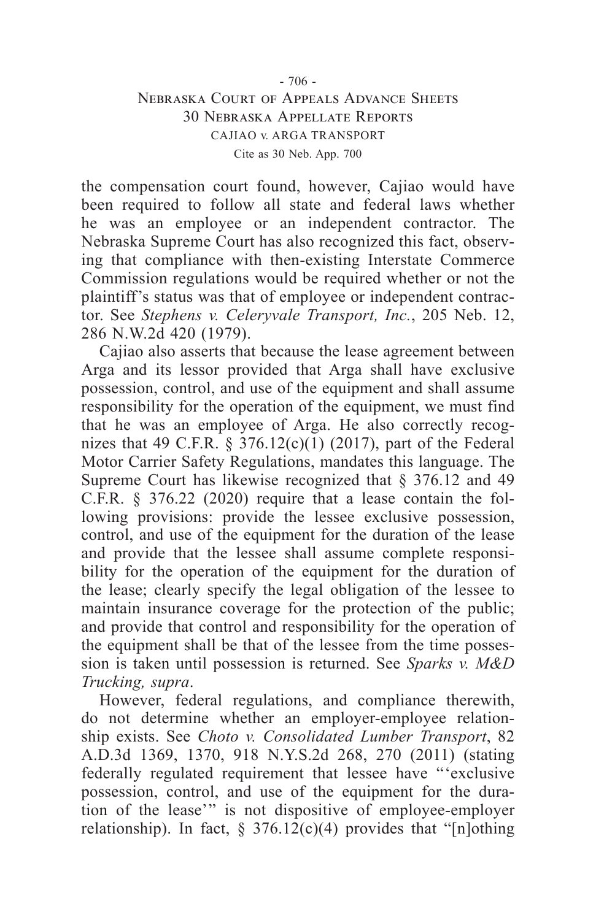### - 706 - Nebraska Court of Appeals Advance Sheets 30 Nebraska Appellate Reports CAJIAO v. ARGA TRANSPORT Cite as 30 Neb. App. 700

the compensation court found, however, Cajiao would have been required to follow all state and federal laws whether he was an employee or an independent contractor. The Nebraska Supreme Court has also recognized this fact, observing that compliance with then-existing Interstate Commerce Commission regulations would be required whether or not the plaintiff's status was that of employee or independent contractor. See *Stephens v. Celeryvale Transport, Inc.*, 205 Neb. 12, 286 N.W.2d 420 (1979).

Cajiao also asserts that because the lease agreement between Arga and its lessor provided that Arga shall have exclusive possession, control, and use of the equipment and shall assume responsibility for the operation of the equipment, we must find that he was an employee of Arga. He also correctly recognizes that 49 C.F.R. § 376.12(c)(1) (2017), part of the Federal Motor Carrier Safety Regulations, mandates this language. The Supreme Court has likewise recognized that § 376.12 and 49 C.F.R. § 376.22 (2020) require that a lease contain the following provisions: provide the lessee exclusive possession, control, and use of the equipment for the duration of the lease and provide that the lessee shall assume complete responsibility for the operation of the equipment for the duration of the lease; clearly specify the legal obligation of the lessee to maintain insurance coverage for the protection of the public; and provide that control and responsibility for the operation of the equipment shall be that of the lessee from the time possession is taken until possession is returned. See *Sparks v. M&D Trucking, supra*.

However, federal regulations, and compliance therewith, do not determine whether an employer-employee relationship exists. See *Choto v. Consolidated Lumber Transport*, 82 A.D.3d 1369, 1370, 918 N.Y.S.2d 268, 270 (2011) (stating federally regulated requirement that lessee have "'exclusive possession, control, and use of the equipment for the duration of the lease'" is not dispositive of employee-employer relationship). In fact,  $\S 376.12(c)(4)$  provides that "[n]othing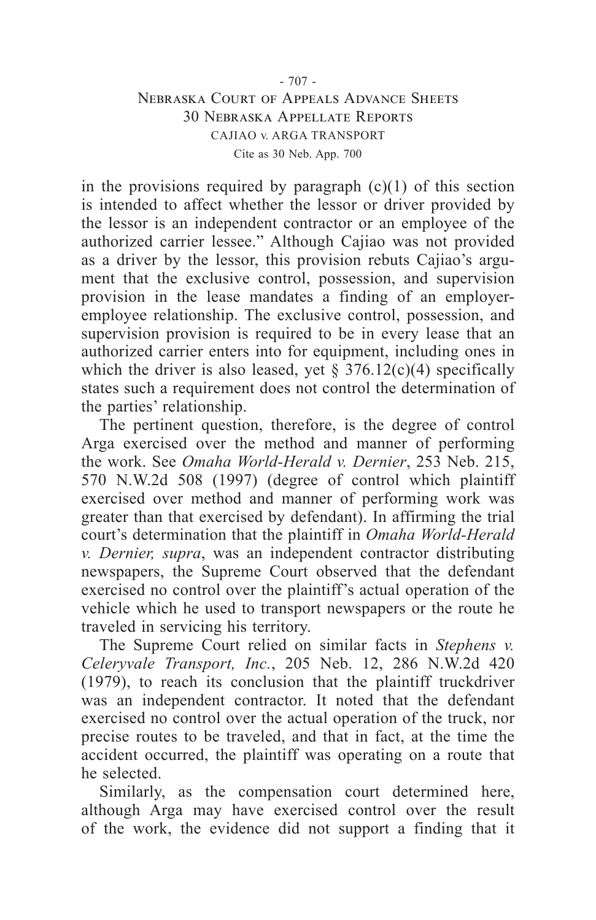### - 707 - Nebraska Court of Appeals Advance Sheets 30 Nebraska Appellate Reports CAJIAO v. ARGA TRANSPORT Cite as 30 Neb. App. 700

in the provisions required by paragraph (c)(1) of this section is intended to affect whether the lessor or driver provided by the lessor is an independent contractor or an employee of the authorized carrier lessee." Although Cajiao was not provided as a driver by the lessor, this provision rebuts Cajiao's argument that the exclusive control, possession, and supervision provision in the lease mandates a finding of an employeremployee relationship. The exclusive control, possession, and supervision provision is required to be in every lease that an authorized carrier enters into for equipment, including ones in which the driver is also leased, yet  $\S$  376.12(c)(4) specifically states such a requirement does not control the determination of the parties' relationship.

The pertinent question, therefore, is the degree of control Arga exercised over the method and manner of performing the work. See *Omaha World-Herald v. Dernier*, 253 Neb. 215, 570 N.W.2d 508 (1997) (degree of control which plaintiff exercised over method and manner of performing work was greater than that exercised by defendant). In affirming the trial court's determination that the plaintiff in *Omaha World-Herald v. Dernier, supra*, was an independent contractor distributing newspapers, the Supreme Court observed that the defendant exercised no control over the plaintiff's actual operation of the vehicle which he used to transport newspapers or the route he traveled in servicing his territory.

The Supreme Court relied on similar facts in *Stephens v. Celeryvale Transport, Inc.*, 205 Neb. 12, 286 N.W.2d 420 (1979), to reach its conclusion that the plaintiff truckdriver was an independent contractor. It noted that the defendant exercised no control over the actual operation of the truck, nor precise routes to be traveled, and that in fact, at the time the accident occurred, the plaintiff was operating on a route that he selected.

Similarly, as the compensation court determined here, although Arga may have exercised control over the result of the work, the evidence did not support a finding that it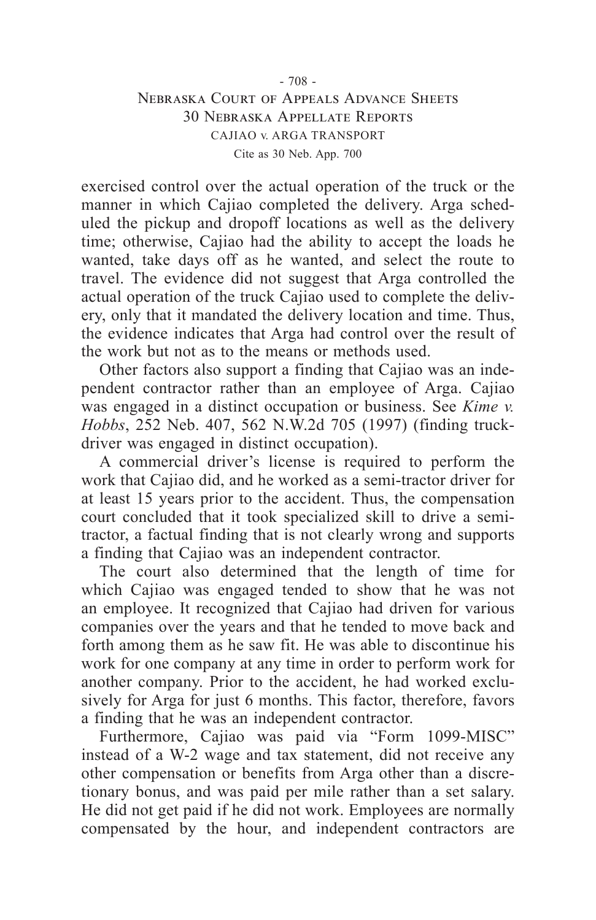### - 708 - Nebraska Court of Appeals Advance Sheets 30 Nebraska Appellate Reports CAJIAO v. ARGA TRANSPORT Cite as 30 Neb. App. 700

exercised control over the actual operation of the truck or the manner in which Cajiao completed the delivery. Arga scheduled the pickup and dropoff locations as well as the delivery time; otherwise, Cajiao had the ability to accept the loads he wanted, take days off as he wanted, and select the route to travel. The evidence did not suggest that Arga controlled the actual operation of the truck Cajiao used to complete the delivery, only that it mandated the delivery location and time. Thus, the evidence indicates that Arga had control over the result of the work but not as to the means or methods used.

Other factors also support a finding that Cajiao was an independent contractor rather than an employee of Arga. Cajiao was engaged in a distinct occupation or business. See *Kime v. Hobbs*, 252 Neb. 407, 562 N.W.2d 705 (1997) (finding truckdriver was engaged in distinct occupation).

A commercial driver's license is required to perform the work that Cajiao did, and he worked as a semi-tractor driver for at least 15 years prior to the accident. Thus, the compensation court concluded that it took specialized skill to drive a semitractor, a factual finding that is not clearly wrong and supports a finding that Cajiao was an independent contractor.

The court also determined that the length of time for which Cajiao was engaged tended to show that he was not an employee. It recognized that Cajiao had driven for various companies over the years and that he tended to move back and forth among them as he saw fit. He was able to discontinue his work for one company at any time in order to perform work for another company. Prior to the accident, he had worked exclusively for Arga for just 6 months. This factor, therefore, favors a finding that he was an independent contractor.

Furthermore, Cajiao was paid via "Form 1099-MISC" instead of a W-2 wage and tax statement, did not receive any other compensation or benefits from Arga other than a discretionary bonus, and was paid per mile rather than a set salary. He did not get paid if he did not work. Employees are normally compensated by the hour, and independent contractors are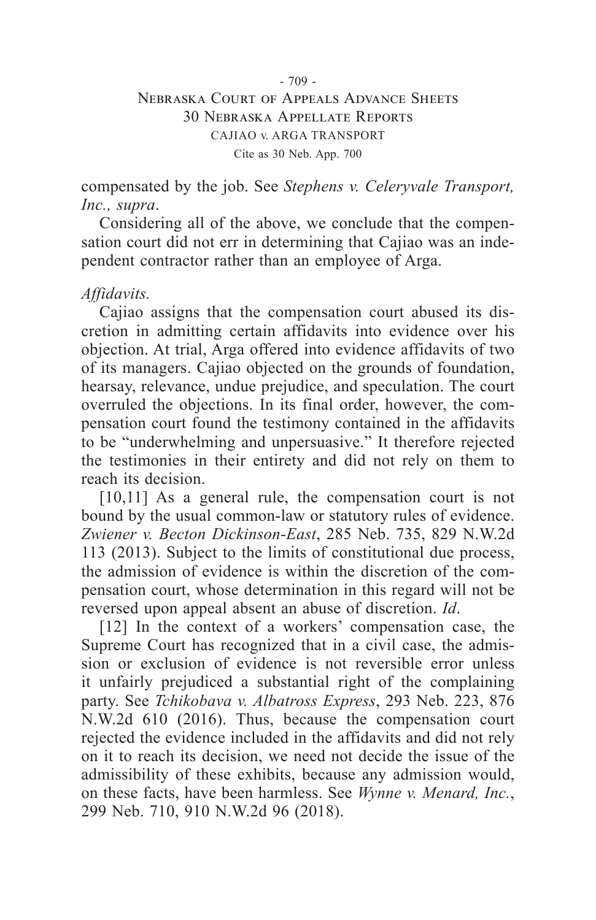#### - 709 -

### Nebraska Court of Appeals Advance Sheets 30 Nebraska Appellate Reports CAJIAO v. ARGA TRANSPORT Cite as 30 Neb. App. 700

compensated by the job. See *Stephens v. Celeryvale Transport, Inc., supra*.

Considering all of the above, we conclude that the compensation court did not err in determining that Cajiao was an independent contractor rather than an employee of Arga.

### *Affidavits.*

Cajiao assigns that the compensation court abused its discretion in admitting certain affidavits into evidence over his objection. At trial, Arga offered into evidence affidavits of two of its managers. Cajiao objected on the grounds of foundation, hearsay, relevance, undue prejudice, and speculation. The court overruled the objections. In its final order, however, the compensation court found the testimony contained in the affidavits to be "underwhelming and unpersuasive." It therefore rejected the testimonies in their entirety and did not rely on them to reach its decision.

[10,11] As a general rule, the compensation court is not bound by the usual common-law or statutory rules of evidence. *Zwiener v. Becton Dickinson-East*, 285 Neb. 735, 829 N.W.2d 113 (2013). Subject to the limits of constitutional due process, the admission of evidence is within the discretion of the compensation court, whose determination in this regard will not be reversed upon appeal absent an abuse of discretion. *Id*.

[12] In the context of a workers' compensation case, the Supreme Court has recognized that in a civil case, the admission or exclusion of evidence is not reversible error unless it unfairly prejudiced a substantial right of the complaining party. See *Tchikobava v. Albatross Express*, 293 Neb. 223, 876 N.W.2d 610 (2016). Thus, because the compensation court rejected the evidence included in the affidavits and did not rely on it to reach its decision, we need not decide the issue of the admissibility of these exhibits, because any admission would, on these facts, have been harmless. See *Wynne v. Menard, Inc.*, 299 Neb. 710, 910 N.W.2d 96 (2018).